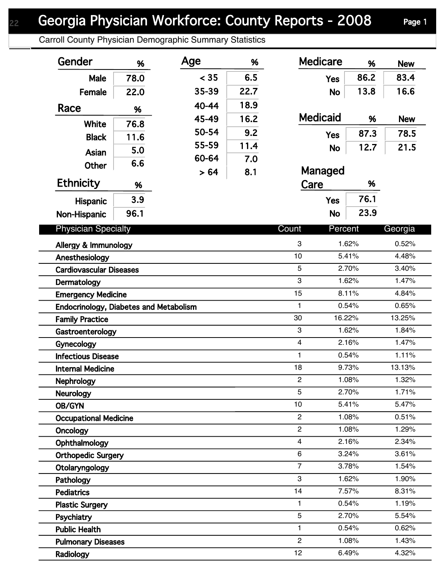## Georgia Physician Workforce: County Reports - 2008 Page 1

Carroll County Physician Demographic Summary Statistics

| 83.4<br>< 35<br>6.5<br>86.2<br>78.0<br>Male<br><b>Yes</b><br>22.7<br>16.6<br>35-39<br>13.8<br>22.0<br>Female<br><b>No</b><br>18.9<br>40-44<br>Race<br>%<br><b>Medicaid</b><br>16.2<br>45-49<br>%<br><b>New</b><br>White<br>76.8<br>50-54<br>9.2<br>87.3<br>78.5<br><b>Yes</b><br>11.6<br><b>Black</b><br>55-59<br>11.4<br>21.5<br>12.7<br><b>No</b><br>5.0<br>Asian<br>60-64<br>7.0<br>6.6<br><b>Other</b><br>Managed<br>8.1<br>> 64<br><b>Ethnicity</b><br>Care<br>%<br>%<br>76.1<br>3.9<br><b>Yes</b><br><b>Hispanic</b><br>23.9<br>96.1<br><b>No</b><br>Non-Hispanic<br><b>Physician Specialty</b><br>Count<br>Percent<br>Georgia<br>3<br>1.62%<br>0.52%<br>Allergy & Immunology<br>10<br>5.41%<br>4.48%<br>Anesthesiology<br>5<br>3.40%<br>2.70%<br><b>Cardiovascular Diseases</b><br>3<br>1.62%<br>1.47%<br>Dermatology<br>15<br>8.11%<br>4.84%<br><b>Emergency Medicine</b><br>0.65%<br>1<br>0.54%<br><b>Endocrinology, Diabetes and Metabolism</b><br>30<br>16.22%<br>13.25%<br>3<br>1.62%<br>1.84%<br>Gastroenterology<br>$\overline{\mathbf{4}}$<br>2.16%<br>1.47%<br>1.11%<br>1<br>0.54%<br><b>Infectious Disease</b><br>18<br>9.73%<br>13.13%<br><b>Internal Medicine</b><br>$\overline{c}$<br>1.32%<br>1.08%<br>5<br>2.70%<br>1.71%<br>10<br>5.41%<br>5.47%<br>$\overline{2}$<br>1.08%<br>0.51%<br><b>Occupational Medicine</b><br>$\overline{2}$<br>1.08%<br>1.29%<br>2.16%<br>2.34%<br>4<br>Ophthalmology<br>6<br>3.24%<br>3.61%<br><b>Orthopedic Surgery</b><br>$\overline{7}$<br>3.78%<br>1.54%<br>Otolaryngology<br>3<br>1.62%<br>1.90%<br>Pathology<br>14<br>7.57%<br>8.31%<br><b>Pediatrics</b><br>1<br>0.54%<br>1.19%<br><b>Plastic Surgery</b><br>5<br>2.70%<br>5.54%<br>Psychiatry<br>0.62%<br>1<br>0.54%<br><b>Public Health</b><br>$\overline{c}$<br>1.08%<br>1.43%<br><b>Pulmonary Diseases</b><br>12<br>6.49%<br>4.32%<br>Radiology | Gender                 | % | Age | % | <b>Medicare</b> | % | <b>New</b> |
|---------------------------------------------------------------------------------------------------------------------------------------------------------------------------------------------------------------------------------------------------------------------------------------------------------------------------------------------------------------------------------------------------------------------------------------------------------------------------------------------------------------------------------------------------------------------------------------------------------------------------------------------------------------------------------------------------------------------------------------------------------------------------------------------------------------------------------------------------------------------------------------------------------------------------------------------------------------------------------------------------------------------------------------------------------------------------------------------------------------------------------------------------------------------------------------------------------------------------------------------------------------------------------------------------------------------------------------------------------------------------------------------------------------------------------------------------------------------------------------------------------------------------------------------------------------------------------------------------------------------------------------------------------------------------------------------------------------------------------------------------------------------------------------------------------------------------------------------------------------|------------------------|---|-----|---|-----------------|---|------------|
|                                                                                                                                                                                                                                                                                                                                                                                                                                                                                                                                                                                                                                                                                                                                                                                                                                                                                                                                                                                                                                                                                                                                                                                                                                                                                                                                                                                                                                                                                                                                                                                                                                                                                                                                                                                                                                                               |                        |   |     |   |                 |   |            |
|                                                                                                                                                                                                                                                                                                                                                                                                                                                                                                                                                                                                                                                                                                                                                                                                                                                                                                                                                                                                                                                                                                                                                                                                                                                                                                                                                                                                                                                                                                                                                                                                                                                                                                                                                                                                                                                               |                        |   |     |   |                 |   |            |
|                                                                                                                                                                                                                                                                                                                                                                                                                                                                                                                                                                                                                                                                                                                                                                                                                                                                                                                                                                                                                                                                                                                                                                                                                                                                                                                                                                                                                                                                                                                                                                                                                                                                                                                                                                                                                                                               |                        |   |     |   |                 |   |            |
|                                                                                                                                                                                                                                                                                                                                                                                                                                                                                                                                                                                                                                                                                                                                                                                                                                                                                                                                                                                                                                                                                                                                                                                                                                                                                                                                                                                                                                                                                                                                                                                                                                                                                                                                                                                                                                                               |                        |   |     |   |                 |   |            |
|                                                                                                                                                                                                                                                                                                                                                                                                                                                                                                                                                                                                                                                                                                                                                                                                                                                                                                                                                                                                                                                                                                                                                                                                                                                                                                                                                                                                                                                                                                                                                                                                                                                                                                                                                                                                                                                               |                        |   |     |   |                 |   |            |
|                                                                                                                                                                                                                                                                                                                                                                                                                                                                                                                                                                                                                                                                                                                                                                                                                                                                                                                                                                                                                                                                                                                                                                                                                                                                                                                                                                                                                                                                                                                                                                                                                                                                                                                                                                                                                                                               |                        |   |     |   |                 |   |            |
|                                                                                                                                                                                                                                                                                                                                                                                                                                                                                                                                                                                                                                                                                                                                                                                                                                                                                                                                                                                                                                                                                                                                                                                                                                                                                                                                                                                                                                                                                                                                                                                                                                                                                                                                                                                                                                                               |                        |   |     |   |                 |   |            |
|                                                                                                                                                                                                                                                                                                                                                                                                                                                                                                                                                                                                                                                                                                                                                                                                                                                                                                                                                                                                                                                                                                                                                                                                                                                                                                                                                                                                                                                                                                                                                                                                                                                                                                                                                                                                                                                               |                        |   |     |   |                 |   |            |
|                                                                                                                                                                                                                                                                                                                                                                                                                                                                                                                                                                                                                                                                                                                                                                                                                                                                                                                                                                                                                                                                                                                                                                                                                                                                                                                                                                                                                                                                                                                                                                                                                                                                                                                                                                                                                                                               |                        |   |     |   |                 |   |            |
|                                                                                                                                                                                                                                                                                                                                                                                                                                                                                                                                                                                                                                                                                                                                                                                                                                                                                                                                                                                                                                                                                                                                                                                                                                                                                                                                                                                                                                                                                                                                                                                                                                                                                                                                                                                                                                                               |                        |   |     |   |                 |   |            |
|                                                                                                                                                                                                                                                                                                                                                                                                                                                                                                                                                                                                                                                                                                                                                                                                                                                                                                                                                                                                                                                                                                                                                                                                                                                                                                                                                                                                                                                                                                                                                                                                                                                                                                                                                                                                                                                               |                        |   |     |   |                 |   |            |
|                                                                                                                                                                                                                                                                                                                                                                                                                                                                                                                                                                                                                                                                                                                                                                                                                                                                                                                                                                                                                                                                                                                                                                                                                                                                                                                                                                                                                                                                                                                                                                                                                                                                                                                                                                                                                                                               |                        |   |     |   |                 |   |            |
|                                                                                                                                                                                                                                                                                                                                                                                                                                                                                                                                                                                                                                                                                                                                                                                                                                                                                                                                                                                                                                                                                                                                                                                                                                                                                                                                                                                                                                                                                                                                                                                                                                                                                                                                                                                                                                                               |                        |   |     |   |                 |   |            |
|                                                                                                                                                                                                                                                                                                                                                                                                                                                                                                                                                                                                                                                                                                                                                                                                                                                                                                                                                                                                                                                                                                                                                                                                                                                                                                                                                                                                                                                                                                                                                                                                                                                                                                                                                                                                                                                               |                        |   |     |   |                 |   |            |
|                                                                                                                                                                                                                                                                                                                                                                                                                                                                                                                                                                                                                                                                                                                                                                                                                                                                                                                                                                                                                                                                                                                                                                                                                                                                                                                                                                                                                                                                                                                                                                                                                                                                                                                                                                                                                                                               |                        |   |     |   |                 |   |            |
|                                                                                                                                                                                                                                                                                                                                                                                                                                                                                                                                                                                                                                                                                                                                                                                                                                                                                                                                                                                                                                                                                                                                                                                                                                                                                                                                                                                                                                                                                                                                                                                                                                                                                                                                                                                                                                                               |                        |   |     |   |                 |   |            |
|                                                                                                                                                                                                                                                                                                                                                                                                                                                                                                                                                                                                                                                                                                                                                                                                                                                                                                                                                                                                                                                                                                                                                                                                                                                                                                                                                                                                                                                                                                                                                                                                                                                                                                                                                                                                                                                               |                        |   |     |   |                 |   |            |
|                                                                                                                                                                                                                                                                                                                                                                                                                                                                                                                                                                                                                                                                                                                                                                                                                                                                                                                                                                                                                                                                                                                                                                                                                                                                                                                                                                                                                                                                                                                                                                                                                                                                                                                                                                                                                                                               |                        |   |     |   |                 |   |            |
|                                                                                                                                                                                                                                                                                                                                                                                                                                                                                                                                                                                                                                                                                                                                                                                                                                                                                                                                                                                                                                                                                                                                                                                                                                                                                                                                                                                                                                                                                                                                                                                                                                                                                                                                                                                                                                                               | <b>Family Practice</b> |   |     |   |                 |   |            |
|                                                                                                                                                                                                                                                                                                                                                                                                                                                                                                                                                                                                                                                                                                                                                                                                                                                                                                                                                                                                                                                                                                                                                                                                                                                                                                                                                                                                                                                                                                                                                                                                                                                                                                                                                                                                                                                               |                        |   |     |   |                 |   |            |
|                                                                                                                                                                                                                                                                                                                                                                                                                                                                                                                                                                                                                                                                                                                                                                                                                                                                                                                                                                                                                                                                                                                                                                                                                                                                                                                                                                                                                                                                                                                                                                                                                                                                                                                                                                                                                                                               | Gynecology             |   |     |   |                 |   |            |
|                                                                                                                                                                                                                                                                                                                                                                                                                                                                                                                                                                                                                                                                                                                                                                                                                                                                                                                                                                                                                                                                                                                                                                                                                                                                                                                                                                                                                                                                                                                                                                                                                                                                                                                                                                                                                                                               |                        |   |     |   |                 |   |            |
|                                                                                                                                                                                                                                                                                                                                                                                                                                                                                                                                                                                                                                                                                                                                                                                                                                                                                                                                                                                                                                                                                                                                                                                                                                                                                                                                                                                                                                                                                                                                                                                                                                                                                                                                                                                                                                                               |                        |   |     |   |                 |   |            |
|                                                                                                                                                                                                                                                                                                                                                                                                                                                                                                                                                                                                                                                                                                                                                                                                                                                                                                                                                                                                                                                                                                                                                                                                                                                                                                                                                                                                                                                                                                                                                                                                                                                                                                                                                                                                                                                               | Nephrology             |   |     |   |                 |   |            |
|                                                                                                                                                                                                                                                                                                                                                                                                                                                                                                                                                                                                                                                                                                                                                                                                                                                                                                                                                                                                                                                                                                                                                                                                                                                                                                                                                                                                                                                                                                                                                                                                                                                                                                                                                                                                                                                               | <b>Neurology</b>       |   |     |   |                 |   |            |
|                                                                                                                                                                                                                                                                                                                                                                                                                                                                                                                                                                                                                                                                                                                                                                                                                                                                                                                                                                                                                                                                                                                                                                                                                                                                                                                                                                                                                                                                                                                                                                                                                                                                                                                                                                                                                                                               | OB/GYN                 |   |     |   |                 |   |            |
|                                                                                                                                                                                                                                                                                                                                                                                                                                                                                                                                                                                                                                                                                                                                                                                                                                                                                                                                                                                                                                                                                                                                                                                                                                                                                                                                                                                                                                                                                                                                                                                                                                                                                                                                                                                                                                                               |                        |   |     |   |                 |   |            |
|                                                                                                                                                                                                                                                                                                                                                                                                                                                                                                                                                                                                                                                                                                                                                                                                                                                                                                                                                                                                                                                                                                                                                                                                                                                                                                                                                                                                                                                                                                                                                                                                                                                                                                                                                                                                                                                               | Oncology               |   |     |   |                 |   |            |
|                                                                                                                                                                                                                                                                                                                                                                                                                                                                                                                                                                                                                                                                                                                                                                                                                                                                                                                                                                                                                                                                                                                                                                                                                                                                                                                                                                                                                                                                                                                                                                                                                                                                                                                                                                                                                                                               |                        |   |     |   |                 |   |            |
|                                                                                                                                                                                                                                                                                                                                                                                                                                                                                                                                                                                                                                                                                                                                                                                                                                                                                                                                                                                                                                                                                                                                                                                                                                                                                                                                                                                                                                                                                                                                                                                                                                                                                                                                                                                                                                                               |                        |   |     |   |                 |   |            |
|                                                                                                                                                                                                                                                                                                                                                                                                                                                                                                                                                                                                                                                                                                                                                                                                                                                                                                                                                                                                                                                                                                                                                                                                                                                                                                                                                                                                                                                                                                                                                                                                                                                                                                                                                                                                                                                               |                        |   |     |   |                 |   |            |
|                                                                                                                                                                                                                                                                                                                                                                                                                                                                                                                                                                                                                                                                                                                                                                                                                                                                                                                                                                                                                                                                                                                                                                                                                                                                                                                                                                                                                                                                                                                                                                                                                                                                                                                                                                                                                                                               |                        |   |     |   |                 |   |            |
|                                                                                                                                                                                                                                                                                                                                                                                                                                                                                                                                                                                                                                                                                                                                                                                                                                                                                                                                                                                                                                                                                                                                                                                                                                                                                                                                                                                                                                                                                                                                                                                                                                                                                                                                                                                                                                                               |                        |   |     |   |                 |   |            |
|                                                                                                                                                                                                                                                                                                                                                                                                                                                                                                                                                                                                                                                                                                                                                                                                                                                                                                                                                                                                                                                                                                                                                                                                                                                                                                                                                                                                                                                                                                                                                                                                                                                                                                                                                                                                                                                               |                        |   |     |   |                 |   |            |
|                                                                                                                                                                                                                                                                                                                                                                                                                                                                                                                                                                                                                                                                                                                                                                                                                                                                                                                                                                                                                                                                                                                                                                                                                                                                                                                                                                                                                                                                                                                                                                                                                                                                                                                                                                                                                                                               |                        |   |     |   |                 |   |            |
|                                                                                                                                                                                                                                                                                                                                                                                                                                                                                                                                                                                                                                                                                                                                                                                                                                                                                                                                                                                                                                                                                                                                                                                                                                                                                                                                                                                                                                                                                                                                                                                                                                                                                                                                                                                                                                                               |                        |   |     |   |                 |   |            |
|                                                                                                                                                                                                                                                                                                                                                                                                                                                                                                                                                                                                                                                                                                                                                                                                                                                                                                                                                                                                                                                                                                                                                                                                                                                                                                                                                                                                                                                                                                                                                                                                                                                                                                                                                                                                                                                               |                        |   |     |   |                 |   |            |